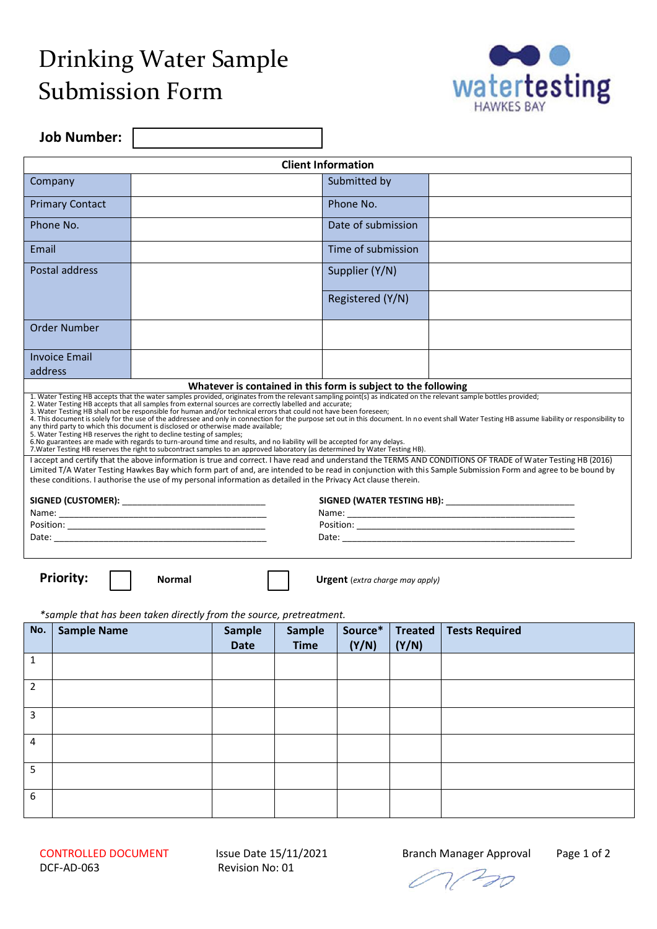# Drinking Water Sample Submission Form



**Job Number:** 

| <b>Client Information</b> |                                                                                                                                                                                                                                                                                                                                                                                                                                                                                                                                                                                                                                                                                                                                                                                                                             |                    |                                                                                                                                                                                                   |  |  |  |
|---------------------------|-----------------------------------------------------------------------------------------------------------------------------------------------------------------------------------------------------------------------------------------------------------------------------------------------------------------------------------------------------------------------------------------------------------------------------------------------------------------------------------------------------------------------------------------------------------------------------------------------------------------------------------------------------------------------------------------------------------------------------------------------------------------------------------------------------------------------------|--------------------|---------------------------------------------------------------------------------------------------------------------------------------------------------------------------------------------------|--|--|--|
|                           |                                                                                                                                                                                                                                                                                                                                                                                                                                                                                                                                                                                                                                                                                                                                                                                                                             |                    |                                                                                                                                                                                                   |  |  |  |
| Company                   |                                                                                                                                                                                                                                                                                                                                                                                                                                                                                                                                                                                                                                                                                                                                                                                                                             | Submitted by       |                                                                                                                                                                                                   |  |  |  |
| <b>Primary Contact</b>    |                                                                                                                                                                                                                                                                                                                                                                                                                                                                                                                                                                                                                                                                                                                                                                                                                             | Phone No.          |                                                                                                                                                                                                   |  |  |  |
| Phone No.                 |                                                                                                                                                                                                                                                                                                                                                                                                                                                                                                                                                                                                                                                                                                                                                                                                                             | Date of submission |                                                                                                                                                                                                   |  |  |  |
| Email                     |                                                                                                                                                                                                                                                                                                                                                                                                                                                                                                                                                                                                                                                                                                                                                                                                                             | Time of submission |                                                                                                                                                                                                   |  |  |  |
| Postal address            |                                                                                                                                                                                                                                                                                                                                                                                                                                                                                                                                                                                                                                                                                                                                                                                                                             | Supplier (Y/N)     |                                                                                                                                                                                                   |  |  |  |
|                           |                                                                                                                                                                                                                                                                                                                                                                                                                                                                                                                                                                                                                                                                                                                                                                                                                             | Registered (Y/N)   |                                                                                                                                                                                                   |  |  |  |
| <b>Order Number</b>       |                                                                                                                                                                                                                                                                                                                                                                                                                                                                                                                                                                                                                                                                                                                                                                                                                             |                    |                                                                                                                                                                                                   |  |  |  |
| <b>Invoice Email</b>      |                                                                                                                                                                                                                                                                                                                                                                                                                                                                                                                                                                                                                                                                                                                                                                                                                             |                    |                                                                                                                                                                                                   |  |  |  |
| address                   |                                                                                                                                                                                                                                                                                                                                                                                                                                                                                                                                                                                                                                                                                                                                                                                                                             |                    |                                                                                                                                                                                                   |  |  |  |
|                           | Whatever is contained in this form is subject to the following                                                                                                                                                                                                                                                                                                                                                                                                                                                                                                                                                                                                                                                                                                                                                              |                    |                                                                                                                                                                                                   |  |  |  |
|                           | 1. Water Testing HB accepts that the water samples provided, originates from the relevant sampling point(s) as indicated on the relevant sample bottles provided;<br>2. Water Testing HB accepts that all samples from external sources are correctly labelled and accurate;<br>3. Water Testing HB shall not be responsible for human and/or technical errors that could not have been foreseen;<br>any third party to which this document is disclosed or otherwise made available;<br>5. Water Testing HB reserves the right to decline testing of samples;<br>6. No guarantees are made with regards to turn-around time and results, and no liability will be accepted for any delays.<br>7. Water Testing HB reserves the right to subcontract samples to an approved laboratory (as determined by Water Testing HB). |                    | 4. This document is solely for the use of the addressee and only in connection for the purpose set out in this document. In no event shall Water Testing HB assume liability or responsibility to |  |  |  |
|                           | I accept and certify that the above information is true and correct. I have read and understand the TERMS AND CONDITIONS OF TRADE of Water Testing HB (2016)<br>Limited T/A Water Testing Hawkes Bay which form part of and, are intended to be read in conjunction with this Sample Submission Form and agree to be bound by<br>these conditions. I authorise the use of my personal information as detailed in the Privacy Act clause therein.                                                                                                                                                                                                                                                                                                                                                                            |                    |                                                                                                                                                                                                   |  |  |  |
|                           |                                                                                                                                                                                                                                                                                                                                                                                                                                                                                                                                                                                                                                                                                                                                                                                                                             |                    |                                                                                                                                                                                                   |  |  |  |
|                           |                                                                                                                                                                                                                                                                                                                                                                                                                                                                                                                                                                                                                                                                                                                                                                                                                             |                    |                                                                                                                                                                                                   |  |  |  |
| Position:                 |                                                                                                                                                                                                                                                                                                                                                                                                                                                                                                                                                                                                                                                                                                                                                                                                                             | Position:          |                                                                                                                                                                                                   |  |  |  |

Date: \_\_\_\_\_\_\_\_\_\_\_\_\_\_\_\_\_\_\_\_\_\_\_\_\_\_\_\_\_\_\_\_\_\_\_\_\_\_\_\_\_\_\_ Date: \_\_\_\_\_\_\_\_\_\_\_\_\_\_\_\_\_\_\_\_\_\_\_\_\_\_\_\_\_\_\_\_\_\_\_\_\_\_\_\_\_\_\_\_\_\_\_

**Priority:** 

**Normal Urgent** (*extra charge may apply)*

*\*sample that has been taken directly from the source, pretreatment.*

| No.            | <b>Sample Name</b> | Sample<br><b>Date</b> | Sample<br><b>Time</b> | Source*<br>(Y/N) | (Y/N) | Treated   Tests Required |
|----------------|--------------------|-----------------------|-----------------------|------------------|-------|--------------------------|
| 1              |                    |                       |                       |                  |       |                          |
| $\overline{2}$ |                    |                       |                       |                  |       |                          |
| 3              |                    |                       |                       |                  |       |                          |
| $\overline{4}$ |                    |                       |                       |                  |       |                          |
| 5              |                    |                       |                       |                  |       |                          |
| 6              |                    |                       |                       |                  |       |                          |

01/20